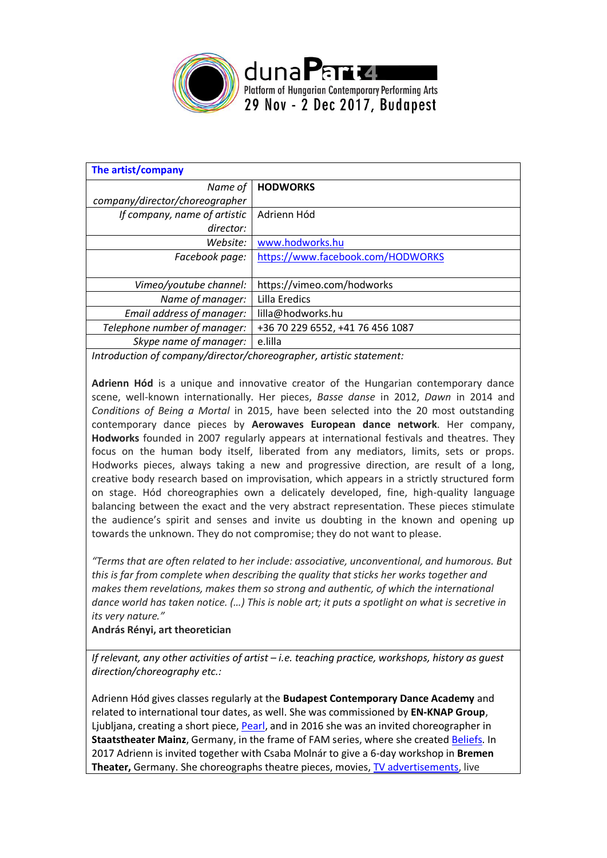

| The artist/company                                                  |                                   |  |
|---------------------------------------------------------------------|-----------------------------------|--|
| Name of                                                             | <b>HODWORKS</b>                   |  |
| company/director/choreographer                                      |                                   |  |
| If company, name of artistic                                        | Adrienn Hód                       |  |
| director:                                                           |                                   |  |
| Website:                                                            | www.hodworks.hu                   |  |
| Facebook page:                                                      | https://www.facebook.com/HODWORKS |  |
|                                                                     |                                   |  |
| Vimeo/youtube channel:                                              | https://vimeo.com/hodworks        |  |
| Name of manager:                                                    | Lilla Eredics                     |  |
| Email address of manager:                                           | lilla@hodworks.hu                 |  |
| Telephone number of manager:                                        | +36 70 229 6552, +41 76 456 1087  |  |
| Skype name of manager:                                              | e.lilla                           |  |
| Introduction of company/director/chargeographer_artictic statement: |                                   |  |

*Introduction of company/director/choreographer, artistic statement:*

**Adrienn Hód** is a unique and innovative creator of the Hungarian contemporary dance scene, well-known internationally. Her pieces, *Basse danse* in 2012, *Dawn* in 2014 and *Conditions of Being a Mortal* in 2015, have been selected into the 20 most outstanding contemporary dance pieces by **Aerowaves European dance network**. Her company, **Hodworks** founded in 2007 regularly appears at international festivals and theatres. They focus on the human body itself, liberated from any mediators, limits, sets or props. Hodworks pieces, always taking a new and progressive direction, are result of a long, creative body research based on improvisation, which appears in a strictly structured form on stage. Hód choreographies own a delicately developed, fine, high-quality language balancing between the exact and the very abstract representation. These pieces stimulate the audience's spirit and senses and invite us doubting in the known and opening up towards the unknown. They do not compromise; they do not want to please.

*"Terms that are often related to her include: associative, unconventional, and humorous. But this is far from complete when describing the quality that sticks her works together and makes them revelations, makes them so strong and authentic, of which the international dance world has taken notice. (…) This is noble art; it puts a spotlight on what is secretive in its very nature."* 

## **András Rényi, art theoretician**

*If relevant, any other activities of artist – i.e. teaching practice, workshops, history as guest direction/choreography etc.:*

Adrienn Hód gives classes regularly at the **Budapest Contemporary Dance Academy** and related to international tour dates, as well. She was commissioned by **EN-KNAP Group**, Ljubljana, creating a short piece, [Pearl,](https://www.youtube.com/watch?v=IgldKeBq-rE) and in 2016 she was an invited choreographer in **Staatstheater Mainz**, Germany, in the frame of FAM series, where she created [Beliefs.](http://www.staatstheater-mainz.com/web/veranstaltungen/tanzmainz-16-17/fam) In 2017 Adrienn is invited together with Csaba Molnár to give a 6-day workshop in **Bremen Theater,** Germany. She choreographs theatre pieces, movies, [TV advertisements,](http://www.adriennhod.com/) live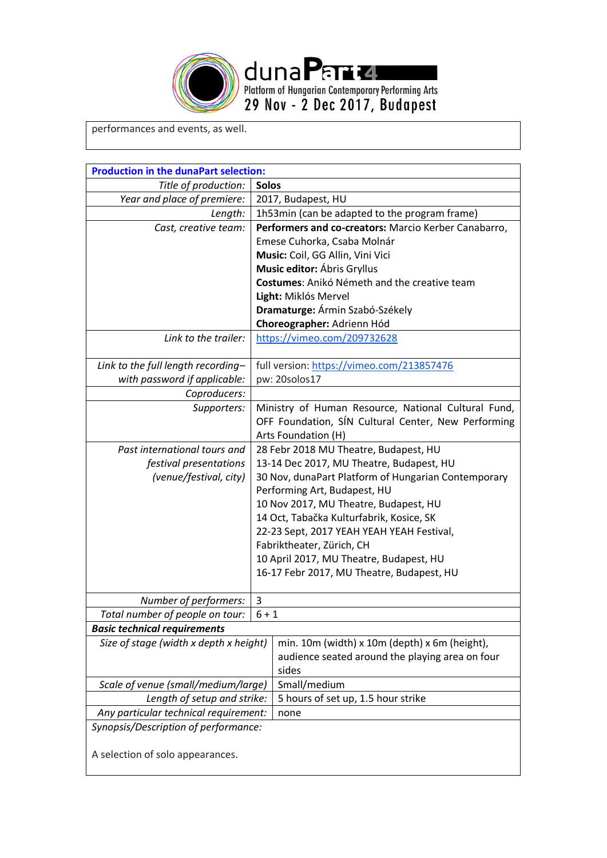

performances and events, as well.

| Title of production:<br><b>Solos</b><br>Year and place of premiere:<br>2017, Budapest, HU<br>Length:<br>1h53min (can be adapted to the program frame)<br>Performers and co-creators: Marcio Kerber Canabarro,<br>Cast, creative team:<br>Emese Cuhorka, Csaba Molnár<br>Music: Coil, GG Allin, Vini Vici<br>Music editor: Ábris Gryllus<br>Costumes: Anikó Németh and the creative team<br>Light: Miklós Mervel<br>Dramaturge: Ármin Szabó-Székely<br>Choreographer: Adrienn Hód<br>Link to the trailer:<br>https://vimeo.com/209732628<br>Link to the full length recording-<br>full version: https://vimeo.com/213857476<br>with password if applicable:<br>pw: 20solos17<br>Coproducers:<br>Ministry of Human Resource, National Cultural Fund,<br>Supporters:<br>OFF Foundation, SÍN Cultural Center, New Performing<br>Arts Foundation (H)<br>Past international tours and<br>28 Febr 2018 MU Theatre, Budapest, HU<br>13-14 Dec 2017, MU Theatre, Budapest, HU<br>festival presentations<br>(venue/festival, city)<br>30 Nov, dunaPart Platform of Hungarian Contemporary<br>Performing Art, Budapest, HU<br>10 Nov 2017, MU Theatre, Budapest, HU<br>14 Oct, Tabačka Kulturfabrik, Kosice, SK<br>22-23 Sept, 2017 YEAH YEAH YEAH Festival,<br>Fabriktheater, Zürich, CH<br>10 April 2017, MU Theatre, Budapest, HU<br>16-17 Febr 2017, MU Theatre, Budapest, HU<br>Number of performers:<br>3<br>Total number of people on tour:<br>$6 + 1$<br><b>Basic technical requirements</b><br>Size of stage (width x depth x height)<br>min. 10m (width) x 10m (depth) x 6m (height),<br>audience seated around the playing area on four<br>sides<br>Scale of venue (small/medium/large)<br>Small/medium<br>5 hours of set up, 1.5 hour strike<br>Length of setup and strike:<br>Any particular technical requirement:<br>none<br>Synopsis/Description of performance:<br>A selection of solo appearances. | <b>Production in the dunaPart selection:</b> |  |  |
|-----------------------------------------------------------------------------------------------------------------------------------------------------------------------------------------------------------------------------------------------------------------------------------------------------------------------------------------------------------------------------------------------------------------------------------------------------------------------------------------------------------------------------------------------------------------------------------------------------------------------------------------------------------------------------------------------------------------------------------------------------------------------------------------------------------------------------------------------------------------------------------------------------------------------------------------------------------------------------------------------------------------------------------------------------------------------------------------------------------------------------------------------------------------------------------------------------------------------------------------------------------------------------------------------------------------------------------------------------------------------------------------------------------------------------------------------------------------------------------------------------------------------------------------------------------------------------------------------------------------------------------------------------------------------------------------------------------------------------------------------------------------------------------------------------------------------------------------------------------------------------------------------------------|----------------------------------------------|--|--|
|                                                                                                                                                                                                                                                                                                                                                                                                                                                                                                                                                                                                                                                                                                                                                                                                                                                                                                                                                                                                                                                                                                                                                                                                                                                                                                                                                                                                                                                                                                                                                                                                                                                                                                                                                                                                                                                                                                           |                                              |  |  |
|                                                                                                                                                                                                                                                                                                                                                                                                                                                                                                                                                                                                                                                                                                                                                                                                                                                                                                                                                                                                                                                                                                                                                                                                                                                                                                                                                                                                                                                                                                                                                                                                                                                                                                                                                                                                                                                                                                           |                                              |  |  |
|                                                                                                                                                                                                                                                                                                                                                                                                                                                                                                                                                                                                                                                                                                                                                                                                                                                                                                                                                                                                                                                                                                                                                                                                                                                                                                                                                                                                                                                                                                                                                                                                                                                                                                                                                                                                                                                                                                           |                                              |  |  |
|                                                                                                                                                                                                                                                                                                                                                                                                                                                                                                                                                                                                                                                                                                                                                                                                                                                                                                                                                                                                                                                                                                                                                                                                                                                                                                                                                                                                                                                                                                                                                                                                                                                                                                                                                                                                                                                                                                           |                                              |  |  |
|                                                                                                                                                                                                                                                                                                                                                                                                                                                                                                                                                                                                                                                                                                                                                                                                                                                                                                                                                                                                                                                                                                                                                                                                                                                                                                                                                                                                                                                                                                                                                                                                                                                                                                                                                                                                                                                                                                           |                                              |  |  |
|                                                                                                                                                                                                                                                                                                                                                                                                                                                                                                                                                                                                                                                                                                                                                                                                                                                                                                                                                                                                                                                                                                                                                                                                                                                                                                                                                                                                                                                                                                                                                                                                                                                                                                                                                                                                                                                                                                           |                                              |  |  |
|                                                                                                                                                                                                                                                                                                                                                                                                                                                                                                                                                                                                                                                                                                                                                                                                                                                                                                                                                                                                                                                                                                                                                                                                                                                                                                                                                                                                                                                                                                                                                                                                                                                                                                                                                                                                                                                                                                           |                                              |  |  |
|                                                                                                                                                                                                                                                                                                                                                                                                                                                                                                                                                                                                                                                                                                                                                                                                                                                                                                                                                                                                                                                                                                                                                                                                                                                                                                                                                                                                                                                                                                                                                                                                                                                                                                                                                                                                                                                                                                           |                                              |  |  |
|                                                                                                                                                                                                                                                                                                                                                                                                                                                                                                                                                                                                                                                                                                                                                                                                                                                                                                                                                                                                                                                                                                                                                                                                                                                                                                                                                                                                                                                                                                                                                                                                                                                                                                                                                                                                                                                                                                           |                                              |  |  |
|                                                                                                                                                                                                                                                                                                                                                                                                                                                                                                                                                                                                                                                                                                                                                                                                                                                                                                                                                                                                                                                                                                                                                                                                                                                                                                                                                                                                                                                                                                                                                                                                                                                                                                                                                                                                                                                                                                           |                                              |  |  |
|                                                                                                                                                                                                                                                                                                                                                                                                                                                                                                                                                                                                                                                                                                                                                                                                                                                                                                                                                                                                                                                                                                                                                                                                                                                                                                                                                                                                                                                                                                                                                                                                                                                                                                                                                                                                                                                                                                           |                                              |  |  |
|                                                                                                                                                                                                                                                                                                                                                                                                                                                                                                                                                                                                                                                                                                                                                                                                                                                                                                                                                                                                                                                                                                                                                                                                                                                                                                                                                                                                                                                                                                                                                                                                                                                                                                                                                                                                                                                                                                           |                                              |  |  |
|                                                                                                                                                                                                                                                                                                                                                                                                                                                                                                                                                                                                                                                                                                                                                                                                                                                                                                                                                                                                                                                                                                                                                                                                                                                                                                                                                                                                                                                                                                                                                                                                                                                                                                                                                                                                                                                                                                           |                                              |  |  |
|                                                                                                                                                                                                                                                                                                                                                                                                                                                                                                                                                                                                                                                                                                                                                                                                                                                                                                                                                                                                                                                                                                                                                                                                                                                                                                                                                                                                                                                                                                                                                                                                                                                                                                                                                                                                                                                                                                           |                                              |  |  |
|                                                                                                                                                                                                                                                                                                                                                                                                                                                                                                                                                                                                                                                                                                                                                                                                                                                                                                                                                                                                                                                                                                                                                                                                                                                                                                                                                                                                                                                                                                                                                                                                                                                                                                                                                                                                                                                                                                           |                                              |  |  |
|                                                                                                                                                                                                                                                                                                                                                                                                                                                                                                                                                                                                                                                                                                                                                                                                                                                                                                                                                                                                                                                                                                                                                                                                                                                                                                                                                                                                                                                                                                                                                                                                                                                                                                                                                                                                                                                                                                           |                                              |  |  |
|                                                                                                                                                                                                                                                                                                                                                                                                                                                                                                                                                                                                                                                                                                                                                                                                                                                                                                                                                                                                                                                                                                                                                                                                                                                                                                                                                                                                                                                                                                                                                                                                                                                                                                                                                                                                                                                                                                           |                                              |  |  |
|                                                                                                                                                                                                                                                                                                                                                                                                                                                                                                                                                                                                                                                                                                                                                                                                                                                                                                                                                                                                                                                                                                                                                                                                                                                                                                                                                                                                                                                                                                                                                                                                                                                                                                                                                                                                                                                                                                           |                                              |  |  |
|                                                                                                                                                                                                                                                                                                                                                                                                                                                                                                                                                                                                                                                                                                                                                                                                                                                                                                                                                                                                                                                                                                                                                                                                                                                                                                                                                                                                                                                                                                                                                                                                                                                                                                                                                                                                                                                                                                           |                                              |  |  |
|                                                                                                                                                                                                                                                                                                                                                                                                                                                                                                                                                                                                                                                                                                                                                                                                                                                                                                                                                                                                                                                                                                                                                                                                                                                                                                                                                                                                                                                                                                                                                                                                                                                                                                                                                                                                                                                                                                           |                                              |  |  |
|                                                                                                                                                                                                                                                                                                                                                                                                                                                                                                                                                                                                                                                                                                                                                                                                                                                                                                                                                                                                                                                                                                                                                                                                                                                                                                                                                                                                                                                                                                                                                                                                                                                                                                                                                                                                                                                                                                           |                                              |  |  |
|                                                                                                                                                                                                                                                                                                                                                                                                                                                                                                                                                                                                                                                                                                                                                                                                                                                                                                                                                                                                                                                                                                                                                                                                                                                                                                                                                                                                                                                                                                                                                                                                                                                                                                                                                                                                                                                                                                           |                                              |  |  |
|                                                                                                                                                                                                                                                                                                                                                                                                                                                                                                                                                                                                                                                                                                                                                                                                                                                                                                                                                                                                                                                                                                                                                                                                                                                                                                                                                                                                                                                                                                                                                                                                                                                                                                                                                                                                                                                                                                           |                                              |  |  |
|                                                                                                                                                                                                                                                                                                                                                                                                                                                                                                                                                                                                                                                                                                                                                                                                                                                                                                                                                                                                                                                                                                                                                                                                                                                                                                                                                                                                                                                                                                                                                                                                                                                                                                                                                                                                                                                                                                           |                                              |  |  |
|                                                                                                                                                                                                                                                                                                                                                                                                                                                                                                                                                                                                                                                                                                                                                                                                                                                                                                                                                                                                                                                                                                                                                                                                                                                                                                                                                                                                                                                                                                                                                                                                                                                                                                                                                                                                                                                                                                           |                                              |  |  |
|                                                                                                                                                                                                                                                                                                                                                                                                                                                                                                                                                                                                                                                                                                                                                                                                                                                                                                                                                                                                                                                                                                                                                                                                                                                                                                                                                                                                                                                                                                                                                                                                                                                                                                                                                                                                                                                                                                           |                                              |  |  |
|                                                                                                                                                                                                                                                                                                                                                                                                                                                                                                                                                                                                                                                                                                                                                                                                                                                                                                                                                                                                                                                                                                                                                                                                                                                                                                                                                                                                                                                                                                                                                                                                                                                                                                                                                                                                                                                                                                           |                                              |  |  |
|                                                                                                                                                                                                                                                                                                                                                                                                                                                                                                                                                                                                                                                                                                                                                                                                                                                                                                                                                                                                                                                                                                                                                                                                                                                                                                                                                                                                                                                                                                                                                                                                                                                                                                                                                                                                                                                                                                           |                                              |  |  |
|                                                                                                                                                                                                                                                                                                                                                                                                                                                                                                                                                                                                                                                                                                                                                                                                                                                                                                                                                                                                                                                                                                                                                                                                                                                                                                                                                                                                                                                                                                                                                                                                                                                                                                                                                                                                                                                                                                           |                                              |  |  |
|                                                                                                                                                                                                                                                                                                                                                                                                                                                                                                                                                                                                                                                                                                                                                                                                                                                                                                                                                                                                                                                                                                                                                                                                                                                                                                                                                                                                                                                                                                                                                                                                                                                                                                                                                                                                                                                                                                           |                                              |  |  |
|                                                                                                                                                                                                                                                                                                                                                                                                                                                                                                                                                                                                                                                                                                                                                                                                                                                                                                                                                                                                                                                                                                                                                                                                                                                                                                                                                                                                                                                                                                                                                                                                                                                                                                                                                                                                                                                                                                           |                                              |  |  |
|                                                                                                                                                                                                                                                                                                                                                                                                                                                                                                                                                                                                                                                                                                                                                                                                                                                                                                                                                                                                                                                                                                                                                                                                                                                                                                                                                                                                                                                                                                                                                                                                                                                                                                                                                                                                                                                                                                           |                                              |  |  |
|                                                                                                                                                                                                                                                                                                                                                                                                                                                                                                                                                                                                                                                                                                                                                                                                                                                                                                                                                                                                                                                                                                                                                                                                                                                                                                                                                                                                                                                                                                                                                                                                                                                                                                                                                                                                                                                                                                           |                                              |  |  |
|                                                                                                                                                                                                                                                                                                                                                                                                                                                                                                                                                                                                                                                                                                                                                                                                                                                                                                                                                                                                                                                                                                                                                                                                                                                                                                                                                                                                                                                                                                                                                                                                                                                                                                                                                                                                                                                                                                           |                                              |  |  |
|                                                                                                                                                                                                                                                                                                                                                                                                                                                                                                                                                                                                                                                                                                                                                                                                                                                                                                                                                                                                                                                                                                                                                                                                                                                                                                                                                                                                                                                                                                                                                                                                                                                                                                                                                                                                                                                                                                           |                                              |  |  |
|                                                                                                                                                                                                                                                                                                                                                                                                                                                                                                                                                                                                                                                                                                                                                                                                                                                                                                                                                                                                                                                                                                                                                                                                                                                                                                                                                                                                                                                                                                                                                                                                                                                                                                                                                                                                                                                                                                           |                                              |  |  |
|                                                                                                                                                                                                                                                                                                                                                                                                                                                                                                                                                                                                                                                                                                                                                                                                                                                                                                                                                                                                                                                                                                                                                                                                                                                                                                                                                                                                                                                                                                                                                                                                                                                                                                                                                                                                                                                                                                           |                                              |  |  |
|                                                                                                                                                                                                                                                                                                                                                                                                                                                                                                                                                                                                                                                                                                                                                                                                                                                                                                                                                                                                                                                                                                                                                                                                                                                                                                                                                                                                                                                                                                                                                                                                                                                                                                                                                                                                                                                                                                           |                                              |  |  |
|                                                                                                                                                                                                                                                                                                                                                                                                                                                                                                                                                                                                                                                                                                                                                                                                                                                                                                                                                                                                                                                                                                                                                                                                                                                                                                                                                                                                                                                                                                                                                                                                                                                                                                                                                                                                                                                                                                           |                                              |  |  |
|                                                                                                                                                                                                                                                                                                                                                                                                                                                                                                                                                                                                                                                                                                                                                                                                                                                                                                                                                                                                                                                                                                                                                                                                                                                                                                                                                                                                                                                                                                                                                                                                                                                                                                                                                                                                                                                                                                           |                                              |  |  |
|                                                                                                                                                                                                                                                                                                                                                                                                                                                                                                                                                                                                                                                                                                                                                                                                                                                                                                                                                                                                                                                                                                                                                                                                                                                                                                                                                                                                                                                                                                                                                                                                                                                                                                                                                                                                                                                                                                           |                                              |  |  |
|                                                                                                                                                                                                                                                                                                                                                                                                                                                                                                                                                                                                                                                                                                                                                                                                                                                                                                                                                                                                                                                                                                                                                                                                                                                                                                                                                                                                                                                                                                                                                                                                                                                                                                                                                                                                                                                                                                           |                                              |  |  |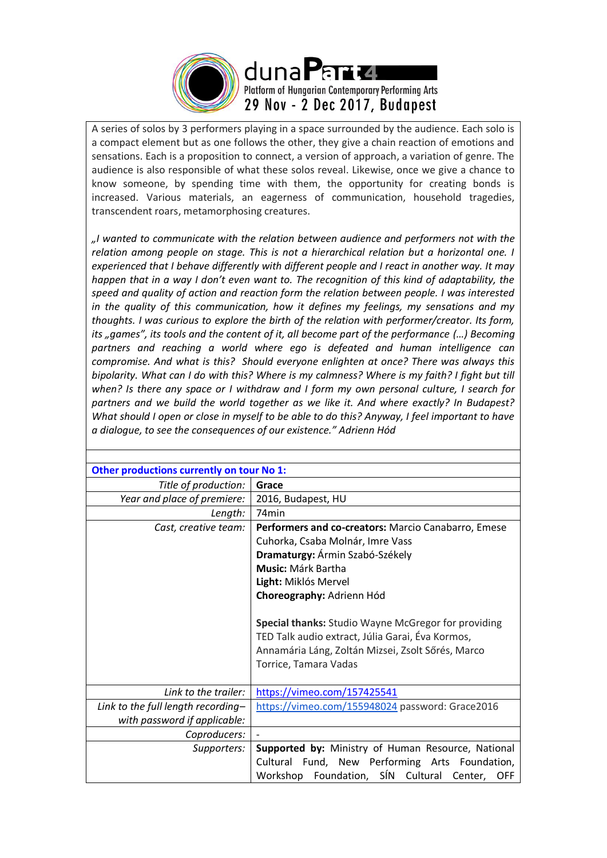

A series of solos by 3 performers playing in a space surrounded by the audience. Each solo is a compact element but as one follows the other, they give a chain reaction of emotions and sensations. Each is a proposition to connect, a version of approach, a variation of genre. The audience is also responsible of what these solos reveal. Likewise, once we give a chance to know someone, by spending time with them, the opportunity for creating bonds is increased. Various materials, an eagerness of communication, household tragedies, transcendent roars, metamorphosing creatures.

*"I wanted to communicate with the relation between audience and performers not with the relation among people on stage. This is not a hierarchical relation but a horizontal one. I experienced that I behave differently with different people and I react in another way. It may happen that in a way I don't even want to. The recognition of this kind of adaptability, the speed and quality of action and reaction form the relation between people. I was interested in the quality of this communication, how it defines my feelings, my sensations and my thoughts. I was curious to explore the birth of the relation with performer/creator. Its form, its "games", its tools and the content of it, all become part of the performance (…) Becoming partners and reaching a world where ego is defeated and human intelligence can compromise. And what is this? Should everyone enlighten at once? There was always this bipolarity. What can I do with this? Where is my calmness? Where is my faith? I fight but till when? Is there any space or I withdraw and I form my own personal culture, I search for partners and we build the world together as we like it. And where exactly? In Budapest? What should I open or close in myself to be able to do this? Anyway, I feel important to have a dialogue, to see the consequences of our existence." Adrienn Hód*

| Other productions currently on tour No 1: |                                                            |  |
|-------------------------------------------|------------------------------------------------------------|--|
| Title of production:                      | Grace                                                      |  |
| Year and place of premiere:               | 2016, Budapest, HU                                         |  |
| Length:                                   | 74 <sub>min</sub>                                          |  |
| Cast, creative team:                      | Performers and co-creators: Marcio Canabarro, Emese        |  |
|                                           | Cuhorka, Csaba Molnár, Imre Vass                           |  |
|                                           | Dramaturgy: Ármin Szabó-Székely                            |  |
|                                           | Music: Márk Bartha                                         |  |
|                                           | Light: Miklós Mervel                                       |  |
|                                           | Choreography: Adrienn Hód                                  |  |
|                                           |                                                            |  |
|                                           | <b>Special thanks: Studio Wayne McGregor for providing</b> |  |
|                                           | TED Talk audio extract, Júlia Garai, Éva Kormos,           |  |
|                                           | Annamária Láng, Zoltán Mizsei, Zsolt Sőrés, Marco          |  |
|                                           | Torrice, Tamara Vadas                                      |  |
|                                           |                                                            |  |
| Link to the trailer:                      | https://vimeo.com/157425541                                |  |
| Link to the full length recording-        | https://vimeo.com/155948024 password: Grace2016            |  |
| with password if applicable:              |                                                            |  |
| Coproducers:                              |                                                            |  |
| Supporters:                               | Supported by: Ministry of Human Resource, National         |  |
|                                           | Cultural Fund, New Performing Arts Foundation,             |  |
|                                           | Workshop Foundation, SÍN Cultural Center,<br><b>OFF</b>    |  |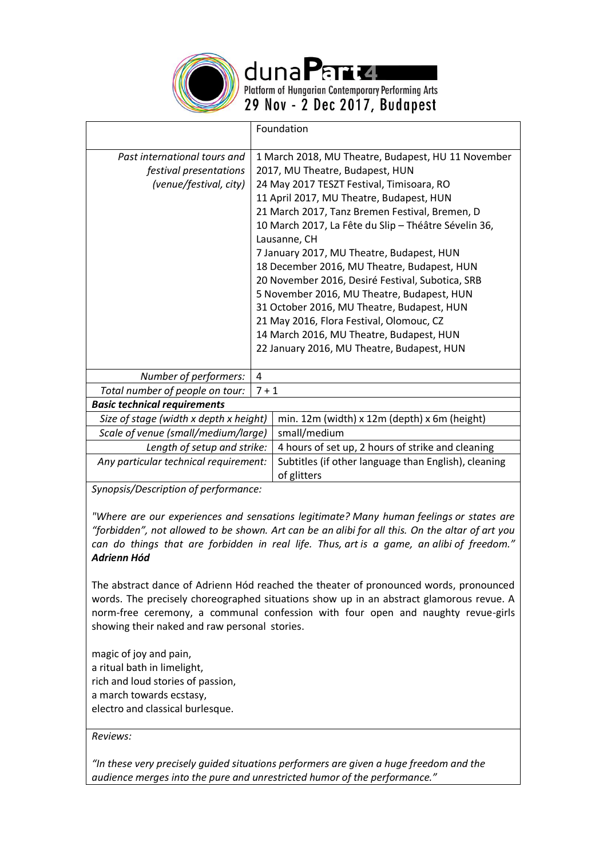

dunaPart4

Platform of Hungarian Contemporary Performing Arts 29 Nov - 2 Dec 2017, Budapest

|                                                                                  | Foundation |                                                                                                                                                                                                                                                                                                                                                                                                                                                                                                                                                                                                                                                                                            |
|----------------------------------------------------------------------------------|------------|--------------------------------------------------------------------------------------------------------------------------------------------------------------------------------------------------------------------------------------------------------------------------------------------------------------------------------------------------------------------------------------------------------------------------------------------------------------------------------------------------------------------------------------------------------------------------------------------------------------------------------------------------------------------------------------------|
| Past international tours and<br>festival presentations<br>(venue/festival, city) |            | 1 March 2018, MU Theatre, Budapest, HU 11 November<br>2017, MU Theatre, Budapest, HUN<br>24 May 2017 TESZT Festival, Timisoara, RO<br>11 April 2017, MU Theatre, Budapest, HUN<br>21 March 2017, Tanz Bremen Festival, Bremen, D<br>10 March 2017, La Fête du Slip - Théâtre Sévelin 36,<br>Lausanne, CH<br>7 January 2017, MU Theatre, Budapest, HUN<br>18 December 2016, MU Theatre, Budapest, HUN<br>20 November 2016, Desiré Festival, Subotica, SRB<br>5 November 2016, MU Theatre, Budapest, HUN<br>31 October 2016, MU Theatre, Budapest, HUN<br>21 May 2016, Flora Festival, Olomouc, CZ<br>14 March 2016, MU Theatre, Budapest, HUN<br>22 January 2016, MU Theatre, Budapest, HUN |
| Number of performers:                                                            | 4          |                                                                                                                                                                                                                                                                                                                                                                                                                                                                                                                                                                                                                                                                                            |
| Total number of people on tour:                                                  | $7 + 1$    |                                                                                                                                                                                                                                                                                                                                                                                                                                                                                                                                                                                                                                                                                            |
| <b>Basic technical requirements</b>                                              |            |                                                                                                                                                                                                                                                                                                                                                                                                                                                                                                                                                                                                                                                                                            |
| Size of stage (width x depth x height)                                           |            | min. 12m (width) x 12m (depth) x 6m (height)                                                                                                                                                                                                                                                                                                                                                                                                                                                                                                                                                                                                                                               |
| Scale of venue (small/medium/large)                                              |            | small/medium                                                                                                                                                                                                                                                                                                                                                                                                                                                                                                                                                                                                                                                                               |
| Length of setup and strike:                                                      |            | 4 hours of set up, 2 hours of strike and cleaning                                                                                                                                                                                                                                                                                                                                                                                                                                                                                                                                                                                                                                          |
| Any particular technical requirement:                                            |            | Subtitles (if other language than English), cleaning<br>of glitters                                                                                                                                                                                                                                                                                                                                                                                                                                                                                                                                                                                                                        |
| Supercic/Description of performance:                                             |            |                                                                                                                                                                                                                                                                                                                                                                                                                                                                                                                                                                                                                                                                                            |

*Synopsis/Description of performance:*

*"Where are our experiences and sensations legitimate? Many human feelings or states are "forbidden", not allowed to be shown. Art can be an alibi for all this. On the altar of art you can do things that are forbidden in real life. Thus, art is a game, an alibi of freedom." Adrienn Hód*

The abstract dance of Adrienn Hód reached the theater of pronounced words, pronounced words. The precisely choreographed situations show up in an abstract glamorous revue. A norm-free ceremony, a communal confession with four open and naughty revue-girls showing their naked and raw personal stories.

magic of joy and pain, a ritual bath in limelight, rich and loud stories of passion, a march towards ecstasy, electro and classical burlesque.

*Reviews:*

*"In these very precisely guided situations performers are given a huge freedom and the audience merges into the pure and unrestricted humor of the performance."*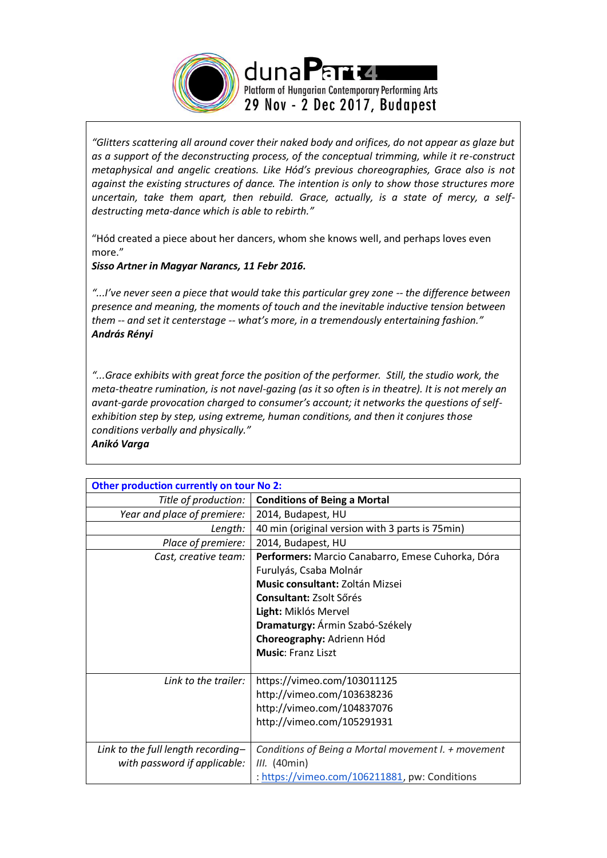

*"Glitters scattering all around cover their naked body and orifices, do not appear as glaze but as a support of the deconstructing process, of the conceptual trimming, while it re-construct metaphysical and angelic creations. Like Hód's previous choreographies, Grace also is not against the existing structures of dance. The intention is only to show those structures more uncertain, take them apart, then rebuild. Grace, actually, is a state of mercy, a selfdestructing meta-dance which is able to rebirth."* 

"Hód created a piece about her dancers, whom she knows well, and perhaps loves even more."

*Sisso Artner in Magyar Narancs, 11 Febr 2016.*

"...I've never seen a piece that would take this particular grey zone -- the difference between *presence and meaning, the moments of touch and the inevitable inductive tension between them -- and set it centerstage -- what's more, in a tremendously entertaining fashion." András Rényi*

*"...Grace exhibits with great force the position of the performer. Still, the studio work, the meta-theatre rumination, is not navel-gazing (as it so often is in theatre). It is not merely an avant-garde provocation charged to consumer's account; it networks the questions of selfexhibition step by step, using extreme, human conditions, and then it conjures those conditions verbally and physically." Anikó Varga* 

| Other production currently on tour No 2: |                                                     |  |
|------------------------------------------|-----------------------------------------------------|--|
| Title of production:                     | <b>Conditions of Being a Mortal</b>                 |  |
| Year and place of premiere:              | 2014, Budapest, HU                                  |  |
| Length:                                  | 40 min (original version with 3 parts is 75 min)    |  |
| Place of premiere:                       | 2014, Budapest, HU                                  |  |
| Cast, creative team:                     | Performers: Marcio Canabarro, Emese Cuhorka, Dóra   |  |
|                                          | Furulyás, Csaba Molnár                              |  |
|                                          | <b>Music consultant: Zoltán Mizsei</b>              |  |
|                                          | <b>Consultant: Zsolt Sőrés</b>                      |  |
|                                          | Light: Miklós Mervel                                |  |
|                                          | Dramaturgy: Ármin Szabó-Székely                     |  |
|                                          | Choreography: Adrienn Hód                           |  |
|                                          | <b>Music: Franz Liszt</b>                           |  |
|                                          |                                                     |  |
| Link to the trailer:                     | https://vimeo.com/103011125                         |  |
|                                          | http://vimeo.com/103638236                          |  |
|                                          | http://vimeo.com/104837076                          |  |
|                                          | http://vimeo.com/105291931                          |  |
|                                          |                                                     |  |
| Link to the full length recording-       | Conditions of Being a Mortal movement I. + movement |  |
| with password if applicable:             | <i>III.</i> (40min)                                 |  |
|                                          | : https://vimeo.com/106211881, pw: Conditions       |  |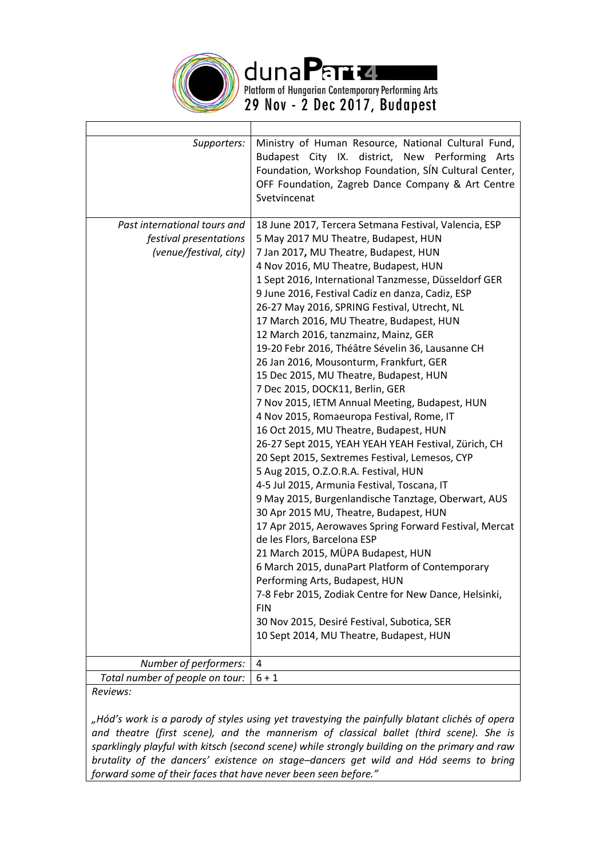

dunaPart

Platform of Hungarian Contemporary Performing Arts<br>29 Nov - 2 Dec 2017, Budapest

| Supporters:                     | Ministry of Human Resource, National Cultural Fund,<br>Budapest City IX. district, New Performing Arts<br>Foundation, Workshop Foundation, SÍN Cultural Center,<br>OFF Foundation, Zagreb Dance Company & Art Centre<br>Svetvincenat |
|---------------------------------|--------------------------------------------------------------------------------------------------------------------------------------------------------------------------------------------------------------------------------------|
| Past international tours and    | 18 June 2017, Tercera Setmana Festival, Valencia, ESP                                                                                                                                                                                |
| festival presentations          | 5 May 2017 MU Theatre, Budapest, HUN                                                                                                                                                                                                 |
| (venue/festival, city)          | 7 Jan 2017, MU Theatre, Budapest, HUN                                                                                                                                                                                                |
|                                 | 4 Nov 2016, MU Theatre, Budapest, HUN                                                                                                                                                                                                |
|                                 | 1 Sept 2016, International Tanzmesse, Düsseldorf GER                                                                                                                                                                                 |
|                                 | 9 June 2016, Festival Cadiz en danza, Cadiz, ESP                                                                                                                                                                                     |
|                                 | 26-27 May 2016, SPRING Festival, Utrecht, NL                                                                                                                                                                                         |
|                                 | 17 March 2016, MU Theatre, Budapest, HUN                                                                                                                                                                                             |
|                                 | 12 March 2016, tanzmainz, Mainz, GER                                                                                                                                                                                                 |
|                                 | 19-20 Febr 2016, Théâtre Sévelin 36, Lausanne CH                                                                                                                                                                                     |
|                                 | 26 Jan 2016, Mousonturm, Frankfurt, GER                                                                                                                                                                                              |
|                                 | 15 Dec 2015, MU Theatre, Budapest, HUN                                                                                                                                                                                               |
|                                 | 7 Dec 2015, DOCK11, Berlin, GER                                                                                                                                                                                                      |
|                                 | 7 Nov 2015, IETM Annual Meeting, Budapest, HUN                                                                                                                                                                                       |
|                                 | 4 Nov 2015, Romaeuropa Festival, Rome, IT                                                                                                                                                                                            |
|                                 | 16 Oct 2015, MU Theatre, Budapest, HUN                                                                                                                                                                                               |
|                                 | 26-27 Sept 2015, YEAH YEAH YEAH Festival, Zürich, CH                                                                                                                                                                                 |
|                                 | 20 Sept 2015, Sextremes Festival, Lemesos, CYP                                                                                                                                                                                       |
|                                 | 5 Aug 2015, O.Z.O.R.A. Festival, HUN                                                                                                                                                                                                 |
|                                 | 4-5 Jul 2015, Armunia Festival, Toscana, IT                                                                                                                                                                                          |
|                                 | 9 May 2015, Burgenlandische Tanztage, Oberwart, AUS                                                                                                                                                                                  |
|                                 | 30 Apr 2015 MU, Theatre, Budapest, HUN                                                                                                                                                                                               |
|                                 | 17 Apr 2015, Aerowaves Spring Forward Festival, Mercat                                                                                                                                                                               |
|                                 | de les Flors, Barcelona ESP<br>21 March 2015, MÜPA Budapest, HUN                                                                                                                                                                     |
|                                 | 6 March 2015, dunaPart Platform of Contemporary                                                                                                                                                                                      |
|                                 | Performing Arts, Budapest, HUN                                                                                                                                                                                                       |
|                                 | 7-8 Febr 2015, Zodiak Centre for New Dance, Helsinki,                                                                                                                                                                                |
|                                 | <b>FIN</b>                                                                                                                                                                                                                           |
|                                 | 30 Nov 2015, Desiré Festival, Subotica, SER                                                                                                                                                                                          |
|                                 | 10 Sept 2014, MU Theatre, Budapest, HUN                                                                                                                                                                                              |
|                                 |                                                                                                                                                                                                                                      |
| Number of performers:           | 4                                                                                                                                                                                                                                    |
| Total number of people on tour: | $6 + 1$                                                                                                                                                                                                                              |

*Reviews:*

*"Hód's work is a parody of styles using yet travestying the painfully blatant clichés of opera and theatre (first scene), and the mannerism of classical ballet (third scene). She is sparklingly playful with kitsch (second scene) while strongly building on the primary and raw brutality of the dancers' existence on stage–dancers get wild and Hód seems to bring forward some of their faces that have never been seen before."*